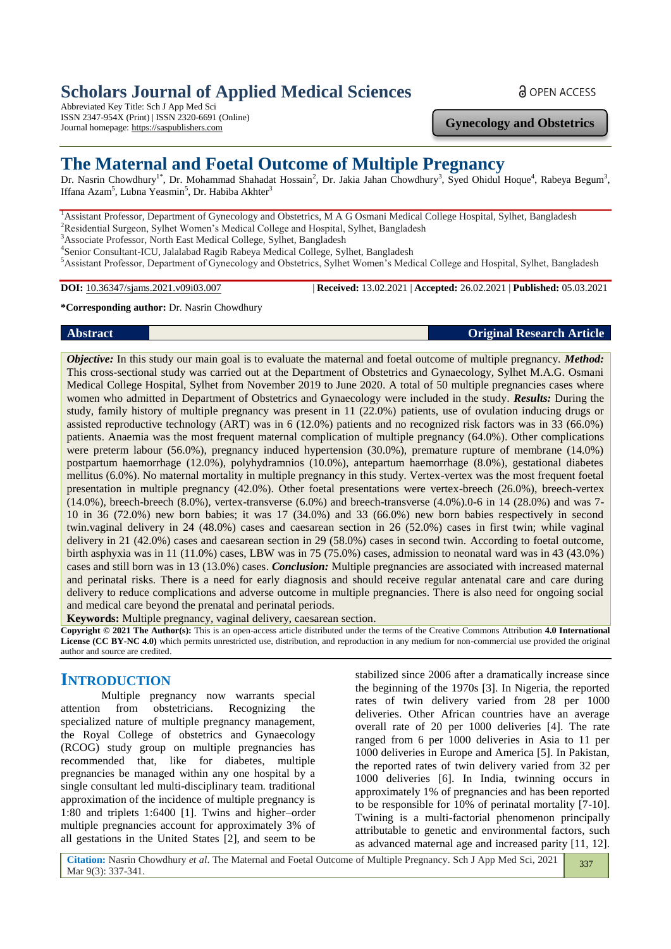# **Scholars Journal of Applied Medical Sciences**

Abbreviated Key Title: Sch J App Med Sci ISSN 2347-954X (Print) | ISSN 2320-6691 (Online) Journal homepage: https://saspublishers.com

### **Gynecology and Obstetrics**

# **The Maternal and Foetal Outcome of Multiple Pregnancy**

Dr. Nasrin Chowdhury<sup>1\*</sup>, Dr. Mohammad Shahadat Hossain<sup>2</sup>, Dr. Jakia Jahan Chowdhury<sup>3</sup>, Syed Ohidul Hoque<sup>4</sup>, Rabeya Begum<sup>3</sup>, Iffana Azam<sup>5</sup>, Lubna Yeasmin<sup>5</sup>, Dr. Habiba Akhter<sup>3</sup>

<sup>1</sup> Assistant Professor, Department of Gynecology and Obstetrics, M A G Osmani Medical College Hospital, Sylhet, Bangladesh <sup>2</sup>Residential Surgeon, Sylhet Women's Medical College and Hospital, Sylhet, Bangladesh

<sup>3</sup>Associate Professor, North East Medical College, Sylhet, Bangladesh

4 Senior Consultant-ICU, Jalalabad Ragib Rabeya Medical College, Sylhet, Bangladesh

<sup>5</sup>Assistant Professor, Department of Gynecology and Obstetrics, Sylhet Women's Medical College and Hospital, Sylhet, Bangladesh

**DOI:** 10.36347/sjams.2021.v09i03.007 | **Received:** 13.02.2021 | **Accepted:** 26.02.2021 | **Published:** 05.03.2021

### **\*Corresponding author:** Dr. Nasrin Chowdhury

### **Abstract Original Research Article**

*Objective:* In this study our main goal is to evaluate the maternal and foetal outcome of multiple pregnancy. *Method:* This cross-sectional study was carried out at the Department of Obstetrics and Gynaecology, Sylhet M.A.G. Osmani Medical College Hospital, Sylhet from November 2019 to June 2020. A total of 50 multiple pregnancies cases where women who admitted in Department of Obstetrics and Gynaecology were included in the study*. Results:* During the study, family history of multiple pregnancy was present in 11 (22.0%) patients, use of ovulation inducing drugs or assisted reproductive technology (ART) was in 6 (12.0%) patients and no recognized risk factors was in 33 (66.0%) patients. Anaemia was the most frequent maternal complication of multiple pregnancy (64.0%). Other complications were preterm labour (56.0%), pregnancy induced hypertension (30.0%), premature rupture of membrane (14.0%) postpartum haemorrhage (12.0%), polyhydramnios (10.0%), antepartum haemorrhage (8.0%), gestational diabetes mellitus (6.0%). No maternal mortality in multiple pregnancy in this study. Vertex-vertex was the most frequent foetal presentation in multiple pregnancy (42.0%). Other foetal presentations were vertex-breech (26.0%), breech-vertex  $(14.0\%)$ , breech-breech  $(8.0\%)$ , vertex-transverse  $(6.0\%)$  and breech-transverse  $(4.0\%)$ .0-6 in 14  $(28.0\%)$  and was 7-10 in 36 (72.0%) new born babies; it was 17 (34.0%) and 33 (66.0%) new born babies respectively in second twin.vaginal delivery in 24 (48.0%) cases and caesarean section in 26 (52.0%) cases in first twin; while vaginal delivery in 21 (42.0%) cases and caesarean section in 29 (58.0%) cases in second twin. According to foetal outcome, birth asphyxia was in 11 (11.0%) cases, LBW was in 75 (75.0%) cases, admission to neonatal ward was in 43 (43.0%) cases and still born was in 13 (13.0%) cases. *Conclusion:* Multiple pregnancies are associated with increased maternal and perinatal risks. There is a need for early diagnosis and should receive regular antenatal care and care during delivery to reduce complications and adverse outcome in multiple pregnancies. There is also need for ongoing social and medical care beyond the prenatal and perinatal periods.

**Keywords:** Multiple pregnancy, vaginal delivery, caesarean section.

**Copyright © 2021 The Author(s):** This is an open-access article distributed under the terms of the Creative Commons Attribution **4.0 International License (CC BY-NC 4.0)** which permits unrestricted use, distribution, and reproduction in any medium for non-commercial use provided the original author and source are credited.

# **INTRODUCTION**

Multiple pregnancy now warrants special attention from obstetricians. Recognizing the specialized nature of multiple pregnancy management, the Royal College of obstetrics and Gynaecology (RCOG) study group on multiple pregnancies has recommended that, like for diabetes, multiple pregnancies be managed within any one hospital by a single consultant led multi-disciplinary team. traditional approximation of the incidence of multiple pregnancy is 1:80 and triplets 1:6400 [1]. Twins and higher–order multiple pregnancies account for approximately 3% of all gestations in the United States [2], and seem to be

stabilized since 2006 after a dramatically increase since the beginning of the 1970s [3]. In Nigeria, the reported rates of twin delivery varied from 28 per 1000 deliveries. Other African countries have an average overall rate of 20 per 1000 deliveries [4]. The rate ranged from 6 per 1000 deliveries in Asia to 11 per 1000 deliveries in Europe and America [5]. In Pakistan, the reported rates of twin delivery varied from 32 per 1000 deliveries [6]. In India, twinning occurs in approximately 1% of pregnancies and has been reported to be responsible for 10% of perinatal mortality [7-10]. Twining is a multi-factorial phenomenon principally attributable to genetic and environmental factors, such as advanced maternal age and increased parity [11, 12].

**Citation:** Nasrin Chowdhury *et al*. The Maternal and Foetal Outcome of Multiple Pregnancy. Sch J App Med Sci, 2021 Mar 9(3): 337-341. 337

### **a** OPEN ACCESS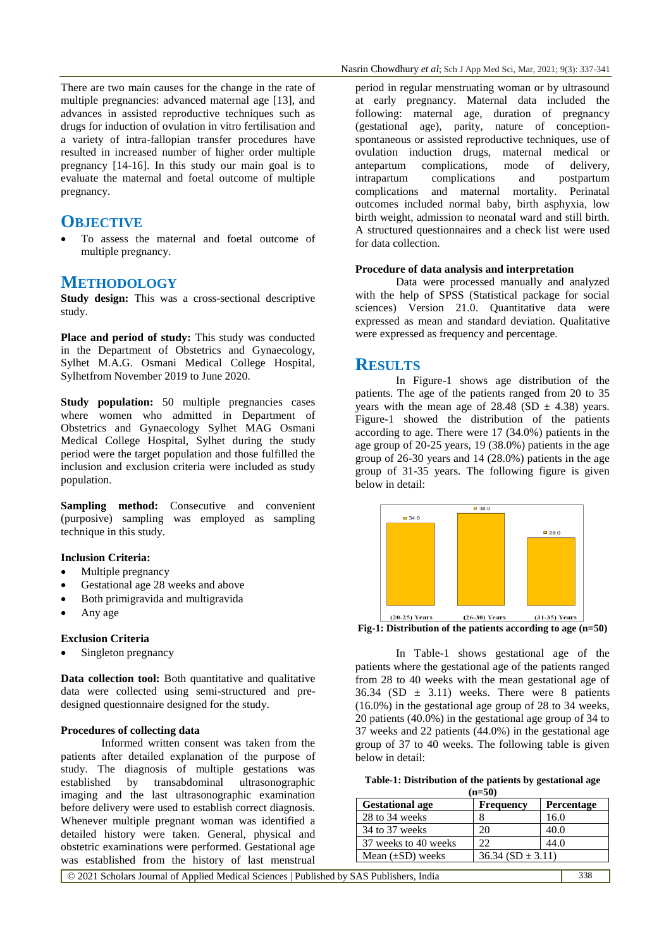There are two main causes for the change in the rate of multiple pregnancies: advanced maternal age [13], and advances in assisted reproductive techniques such as drugs for induction of ovulation in vitro fertilisation and a variety of intra-fallopian transfer procedures have resulted in increased number of higher order multiple pregnancy [14-16]. In this study our main goal is to evaluate the maternal and foetal outcome of multiple pregnancy.

# **OBJECTIVE**

 To assess the maternal and foetal outcome of multiple pregnancy.

### **METHODOLOGY**

**Study design:** This was a cross-sectional descriptive study.

Place and period of study: This study was conducted in the Department of Obstetrics and Gynaecology, Sylhet M.A.G. Osmani Medical College Hospital, Sylhetfrom November 2019 to June 2020.

**Study population:** 50 multiple pregnancies cases where women who admitted in Department of Obstetrics and Gynaecology Sylhet MAG Osmani Medical College Hospital, Sylhet during the study period were the target population and those fulfilled the inclusion and exclusion criteria were included as study population.

**Sampling method:** Consecutive and convenient (purposive) sampling was employed as sampling technique in this study.

#### **Inclusion Criteria:**

- Multiple pregnancy
- Gestational age 28 weeks and above
- Both primigravida and multigravida
- Any age

### **Exclusion Criteria**

Singleton pregnancy

**Data collection tool:** Both quantitative and qualitative data were collected using semi-structured and predesigned questionnaire designed for the study.

#### **Procedures of collecting data**

Informed written consent was taken from the patients after detailed explanation of the purpose of study. The diagnosis of multiple gestations was established by transabdominal ultrasonographic imaging and the last ultrasonographic examination before delivery were used to establish correct diagnosis. Whenever multiple pregnant woman was identified a detailed history were taken. General, physical and obstetric examinations were performed. Gestational age was established from the history of last menstrual

period in regular menstruating woman or by ultrasound at early pregnancy. Maternal data included the following: maternal age, duration of pregnancy (gestational age), parity, nature of conceptionspontaneous or assisted reproductive techniques, use of ovulation induction drugs, maternal medical or antepartum complications, mode of delivery,<br>intrapartum complications and postpartum intrapartum complications and complications and maternal mortality. Perinatal outcomes included normal baby, birth asphyxia, low birth weight, admission to neonatal ward and still birth. A structured questionnaires and a check list were used for data collection.

### **Procedure of data analysis and interpretation**

Data were processed manually and analyzed with the help of SPSS (Statistical package for social sciences) Version 21.0. Quantitative data were expressed as mean and standard deviation. Qualitative were expressed as frequency and percentage.

### **RESULTS**

In Figure-1 shows age distribution of the patients. The age of the patients ranged from 20 to 35 years with the mean age of  $28.48$  (SD  $\pm$  4.38) years. Figure-1 showed the distribution of the patients according to age. There were 17 (34.0%) patients in the age group of 20-25 years, 19 (38.0%) patients in the age group of 26-30 years and 14 (28.0%) patients in the age group of 31-35 years. The following figure is given below in detail:





In Table-1 shows gestational age of the patients where the gestational age of the patients ranged from 28 to 40 weeks with the mean gestational age of 36.34 (SD  $\pm$  3.11) weeks. There were 8 patients (16.0%) in the gestational age group of 28 to 34 weeks, 20 patients (40.0%) in the gestational age group of 34 to 37 weeks and 22 patients (44.0%) in the gestational age group of 37 to 40 weeks. The following table is given below in detail:

| Table-1: Distribution of the patients by gestational age |  |  |  |  |  |  |  |  |  |
|----------------------------------------------------------|--|--|--|--|--|--|--|--|--|
|----------------------------------------------------------|--|--|--|--|--|--|--|--|--|

| $(n=50)$               |                      |                   |  |  |  |
|------------------------|----------------------|-------------------|--|--|--|
| <b>Gestational age</b> | <b>Frequency</b>     | <b>Percentage</b> |  |  |  |
| 28 to 34 weeks         |                      | 16.0              |  |  |  |
| 34 to 37 weeks         | 20                   | 40.0              |  |  |  |
| 37 weeks to 40 weeks   | 22                   | 44.0              |  |  |  |
| Mean $(\pm SD)$ weeks  | $36.34(SD \pm 3.11)$ |                   |  |  |  |
|                        |                      |                   |  |  |  |

© 2021 Scholars Journal of Applied Medical Sciences | Published by SAS Publishers, India 338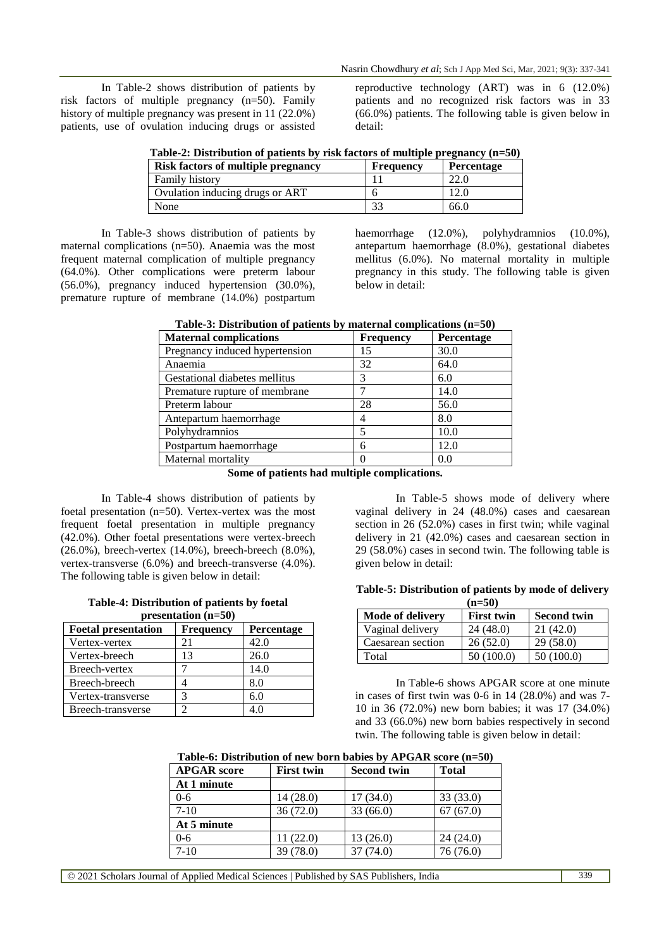In Table-2 shows distribution of patients by risk factors of multiple pregnancy (n=50). Family history of multiple pregnancy was present in 11 (22.0%) patients, use of ovulation inducing drugs or assisted reproductive technology (ART) was in 6 (12.0%) patients and no recognized risk factors was in 33 (66.0%) patients. The following table is given below in detail:

| Table-2: Distribution of patients by risk factors of multiple pregnancy (n=50) |  |  |  |  |  |  |  |  |
|--------------------------------------------------------------------------------|--|--|--|--|--|--|--|--|
|--------------------------------------------------------------------------------|--|--|--|--|--|--|--|--|

| <b>Risk factors of multiple pregnancy</b> | <b>Frequency</b> | Percentage |
|-------------------------------------------|------------------|------------|
| Family history                            |                  | 22.0       |
| Ovulation inducing drugs or ART           |                  | 12.0       |
| None                                      | 33               | 66.0       |

In Table-3 shows distribution of patients by maternal complications (n=50). Anaemia was the most frequent maternal complication of multiple pregnancy (64.0%). Other complications were preterm labour (56.0%), pregnancy induced hypertension (30.0%), premature rupture of membrane (14.0%) postpartum haemorrhage (12.0%), polyhydramnios (10.0%), antepartum haemorrhage (8.0%), gestational diabetes mellitus (6.0%). No maternal mortality in multiple pregnancy in this study. The following table is given below in detail:

| <b>Maternal complications</b>  | <b>Frequency</b> | Percentage |
|--------------------------------|------------------|------------|
| Pregnancy induced hypertension | 15               | 30.0       |
| Anaemia                        | 32               | 64.0       |
| Gestational diabetes mellitus  | 3                | 6.0        |
| Premature rupture of membrane  |                  | 14.0       |
| Preterm labour                 | 28               | 56.0       |
| Antepartum haemorrhage         | 4                | 8.0        |
| Polyhydramnios                 | 5                | 10.0       |
| Postpartum haemorrhage         | 6                | 12.0       |
| Maternal mortality             |                  | 0.0        |

| Table-3: Distribution of patients by maternal complications $(n=50)$ |  |  |
|----------------------------------------------------------------------|--|--|
|                                                                      |  |  |

**Some of patients had multiple complications.**

In Table-4 shows distribution of patients by foetal presentation (n=50). Vertex-vertex was the most frequent foetal presentation in multiple pregnancy (42.0%). Other foetal presentations were vertex-breech (26.0%), breech-vertex (14.0%), breech-breech (8.0%), vertex-transverse (6.0%) and breech-transverse (4.0%). The following table is given below in detail:

| Table-4: Distribution of patients by foetal |  |
|---------------------------------------------|--|
| presentation $(n=50)$                       |  |

| <b>Foetal presentation</b> | <b>Frequency</b> | Percentage |
|----------------------------|------------------|------------|
| Vertex-vertex              | 21               | 42.0       |
| Vertex-breech              | 13               | 26.0       |
| Breech-vertex              |                  | 14.0       |
| Breech-breech              |                  | 8.0        |
| Vertex-transverse          | 3                | 6.0        |
| Breech-transverse          | ာ                | 4 በ        |

In Table-5 shows mode of delivery where vaginal delivery in 24 (48.0%) cases and caesarean section in 26 (52.0%) cases in first twin; while vaginal delivery in 21 (42.0%) cases and caesarean section in 29 (58.0%) cases in second twin. The following table is given below in detail:

### **Table-5: Distribution of patients by mode of delivery**

| $(n=50)$                |                   |                    |  |  |  |
|-------------------------|-------------------|--------------------|--|--|--|
| <b>Mode of delivery</b> | <b>First twin</b> | <b>Second twin</b> |  |  |  |
| Vaginal delivery        | 24(48.0)          | 21(42.0)           |  |  |  |
| Caesarean section       | 26(52.0)          | 29(58.0)           |  |  |  |
| Total                   | 50(100.0)         | 50 (100.0)         |  |  |  |

In Table-6 shows APGAR score at one minute in cases of first twin was 0-6 in 14 (28.0%) and was 7- 10 in 36 (72.0%) new born babies; it was 17 (34.0%) and 33 (66.0%) new born babies respectively in second twin. The following table is given below in detail:

#### **Table-6: Distribution of new born babies by APGAR score (n=50)**

| <b>APGAR</b> score | <b>First twin</b> | <b>Second twin</b> | <b>Total</b> |
|--------------------|-------------------|--------------------|--------------|
| At 1 minute        |                   |                    |              |
| $0 - 6$            | 14(28.0)          | 17(34.0)           | 33 (33.0)    |
| $7-10$             | 36(72.0)          | 33(66.0)           | 67(67.0)     |
| At 5 minute        |                   |                    |              |
| $0 - 6$            | 11 (22.0)         | 13(26.0)           | 24(24.0)     |
| $7-10$             | 39 (78.0)         | 37 (74.0)          | 76 (76.0)    |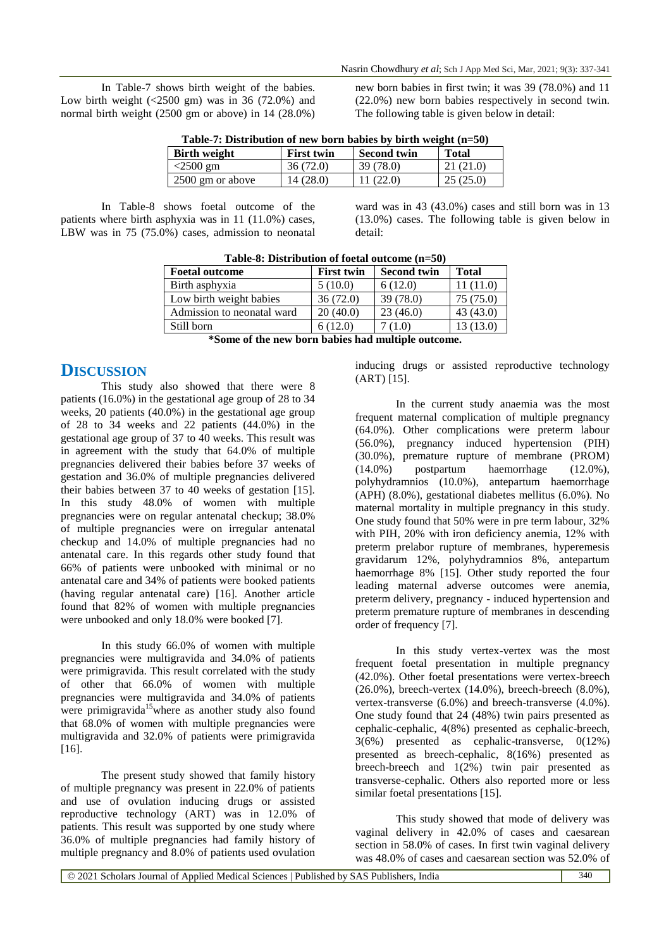In Table-7 shows birth weight of the babies. Low birth weight  $\left( \frac{2500 \text{ gm}}{200 \text{ gm}} \right)$  was in 36 (72.0%) and normal birth weight (2500 gm or above) in 14 (28.0%) new born babies in first twin; it was 39 (78.0%) and 11 (22.0%) new born babies respectively in second twin. The following table is given below in detail:

| Table-7: Distribution of new born babies by birth weight $(n=50)$ |                   |                    |              |  |  |  |  |
|-------------------------------------------------------------------|-------------------|--------------------|--------------|--|--|--|--|
| <b>Birth weight</b>                                               | <b>First twin</b> | <b>Second twin</b> | <b>Total</b> |  |  |  |  |
| $<$ 2500 gm                                                       | 36(72.0)          | 39 (78.0)          | 21(21.0)     |  |  |  |  |
| 2500 gm or above                                                  | 14 (28.0)         | 11(22.0)           | 25(25.0)     |  |  |  |  |

In Table-8 shows foetal outcome of the patients where birth asphyxia was in 11 (11.0%) cases, LBW was in 75 (75.0%) cases, admission to neonatal

ward was in 43 (43.0%) cases and still born was in 13 (13.0%) cases. The following table is given below in detail:

| <b>Foetal outcome</b>      | <b>First twin</b> | <b>Second twin</b> | <b>Total</b> |
|----------------------------|-------------------|--------------------|--------------|
| Birth asphyxia             | 5(10.0)           | 6(12.0)            | 11(11.0)     |
| Low birth weight babies    | 36(72.0)          | 39(78.0)           | 75(75.0)     |
| Admission to neonatal ward | 20(40.0)          | 23(46.0)           | 43(43.0)     |
| Still born                 | 6(12.0)           | (1.0)              | 13(13.0)     |

**Table-8: Distribution of foetal outcome (n=50)**

**\*Some of the new born babies had multiple outcome.**

# **DISCUSSION**

This study also showed that there were 8 patients (16.0%) in the gestational age group of 28 to 34 weeks, 20 patients (40.0%) in the gestational age group of 28 to 34 weeks and 22 patients (44.0%) in the gestational age group of 37 to 40 weeks. This result was in agreement with the study that 64.0% of multiple pregnancies delivered their babies before 37 weeks of gestation and 36.0% of multiple pregnancies delivered their babies between 37 to 40 weeks of gestation [15]. In this study 48.0% of women with multiple pregnancies were on regular antenatal checkup; 38.0% of multiple pregnancies were on irregular antenatal checkup and 14.0% of multiple pregnancies had no antenatal care. In this regards other study found that 66% of patients were unbooked with minimal or no antenatal care and 34% of patients were booked patients (having regular antenatal care) [16]. Another article found that 82% of women with multiple pregnancies were unbooked and only 18.0% were booked [7].

In this study 66.0% of women with multiple pregnancies were multigravida and 34.0% of patients were primigravida. This result correlated with the study of other that 66.0% of women with multiple pregnancies were multigravida and 34.0% of patients were primigravida<sup>15</sup> where as another study also found that 68.0% of women with multiple pregnancies were multigravida and 32.0% of patients were primigravida [16].

The present study showed that family history of multiple pregnancy was present in 22.0% of patients and use of ovulation inducing drugs or assisted reproductive technology (ART) was in 12.0% of patients. This result was supported by one study where 36.0% of multiple pregnancies had family history of multiple pregnancy and 8.0% of patients used ovulation

inducing drugs or assisted reproductive technology (ART) [15].

In the current study anaemia was the most frequent maternal complication of multiple pregnancy (64.0%). Other complications were preterm labour (56.0%), pregnancy induced hypertension (PIH) (30.0%), premature rupture of membrane (PROM) (14.0%) postpartum haemorrhage (12.0%), polyhydramnios (10.0%), antepartum haemorrhage (APH) (8.0%), gestational diabetes mellitus (6.0%). No maternal mortality in multiple pregnancy in this study. One study found that 50% were in pre term labour, 32% with PIH, 20% with iron deficiency anemia, 12% with preterm prelabor rupture of membranes, hyperemesis gravidarum 12%, polyhydramnios 8%, antepartum haemorrhage 8% [15]. Other study reported the four leading maternal adverse outcomes were anemia, preterm delivery, pregnancy - induced hypertension and preterm premature rupture of membranes in descending order of frequency [7].

In this study vertex-vertex was the most frequent foetal presentation in multiple pregnancy (42.0%). Other foetal presentations were vertex-breech  $(26.0\%)$ , breech-vertex  $(14.0\%)$ , breech-breech  $(8.0\%)$ . vertex-transverse (6.0%) and breech-transverse (4.0%). One study found that 24 (48%) twin pairs presented as cephalic-cephalic, 4(8%) presented as cephalic-breech, 3(6%) presented as cephalic-transverse, 0(12%) presented as breech-cephalic, 8(16%) presented as breech-breech and 1(2%) twin pair presented as transverse-cephalic. Others also reported more or less similar foetal presentations [15].

This study showed that mode of delivery was vaginal delivery in 42.0% of cases and caesarean section in 58.0% of cases. In first twin vaginal delivery was 48.0% of cases and caesarean section was 52.0% of

© 2021 Scholars Journal of Applied Medical Sciences | Published by SAS Publishers, India 340